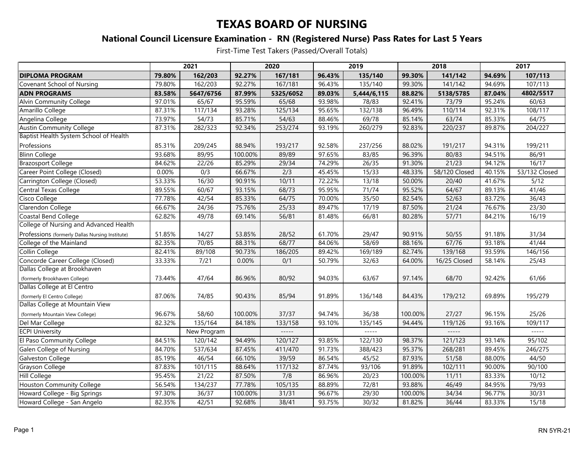### **National Council Licensure Examination - RN (Registered Nurse) Pass Rates for Last 5 Years**

|                                                 | 2021   |             | 2020    |           | 2019   |             | 2018    |               | 2017   |               |
|-------------------------------------------------|--------|-------------|---------|-----------|--------|-------------|---------|---------------|--------|---------------|
| <b>DIPLOMA PROGRAM</b>                          | 79.80% | 162/203     | 92.27%  | 167/181   | 96.43% | 135/140     | 99.30%  | 141/142       | 94.69% | 107/113       |
| Covenant School of Nursing                      | 79.80% | 162/203     | 92.27%  | 167/181   | 96.43% | 135/140     | 99.30%  | 141/142       | 94.69% | 107/113       |
| <b>ADN PROGRAMS</b>                             | 83.58% | 5647/6756   | 87.99%  | 5325/6052 | 89.03% | 5,444/6,115 | 88.82%  | 5138/5785     | 87.04% | 4802/5517     |
| Alvin Community College                         | 97.01% | 65/67       | 95.59%  | 65/68     | 93.98% | 78/83       | 92.41%  | 73/79         | 95.24% | 60/63         |
| Amarillo College                                | 87.31% | 117/134     | 93.28%  | 125/134   | 95.65% | 132/138     | 96.49%  | 110/114       | 92.31% | 108/117       |
| Angelina College                                | 73.97% | 54/73       | 85.71%  | 54/63     | 88.46% | 69/78       | 85.14%  | 63/74         | 85.33% | 64/75         |
| <b>Austin Community College</b>                 | 87.31% | 282/323     | 92.34%  | 253/274   | 93.19% | 260/279     | 92.83%  | 220/237       | 89.87% | 204/227       |
| Baptist Health System School of Health          |        |             |         |           |        |             |         |               |        |               |
| Professions                                     | 85.31% | 209/245     | 88.94%  | 193/217   | 92.58% | 237/256     | 88.02%  | 191/217       | 94.31% | 199/211       |
| <b>Blinn College</b>                            | 93.68% | 89/95       | 100.00% | 89/89     | 97.65% | 83/85       | 96.39%  | 80/83         | 94.51% | 86/91         |
| <b>Brazosport College</b>                       | 84.62% | 22/26       | 85.29%  | 29/34     | 74.29% | 26/35       | 91.30%  | 21/23         | 94.12% | 16/17         |
| Career Point College (Closed)                   | 0.00%  | 0/3         | 66.67%  | 2/3       | 45.45% | 15/33       | 48.33%  | 58/120 Closed | 40.15% | 53/132 Closed |
| Carrington College (Closed)                     | 53.33% | 16/30       | 90.91%  | 10/11     | 72.22% | 13/18       | 50.00%  | 20/40         | 41.67% | 5/12          |
| Central Texas College                           | 89.55% | 60/67       | 93.15%  | 68/73     | 95.95% | 71/74       | 95.52%  | 64/67         | 89.13% | 41/46         |
| Cisco College                                   | 77.78% | 42/54       | 85.33%  | 64/75     | 70.00% | 35/50       | 82.54%  | 52/63         | 83.72% | 36/43         |
| Clarendon College                               | 66.67% | 24/36       | 75.76%  | 25/33     | 89.47% | 17/19       | 87.50%  | 21/24         | 76.67% | 23/30         |
| Coastal Bend College                            | 62.82% | 49/78       | 69.14%  | 56/81     | 81.48% | 66/81       | 80.28%  | 57/71         | 84.21% | 16/19         |
| College of Nursing and Advanced Health          |        |             |         |           |        |             |         |               |        |               |
| Professions (formerly Dallas Nursing Institute) | 51.85% | 14/27       | 53.85%  | 28/52     | 61.70% | 29/47       | 90.91%  | 50/55         | 91.18% | 31/34         |
| College of the Mainland                         | 82.35% | 70/85       | 88.31%  | 68/77     | 84.06% | 58/69       | 88.16%  | 67/76         | 93.18% | 41/44         |
| Collin College                                  | 82.41% | 89/108      | 90.73%  | 186/205   | 89.42% | 169/189     | 82.74%  | 139/168       | 93.59% | 146/156       |
| Concorde Career College (Closed)                | 33.33% | 7/21        | 0.00%   | 0/1       | 50.79% | 32/63       | 64.00%  | 16/25 Closed  | 58.14% | 25/43         |
| Dallas College at Brookhaven                    |        |             |         |           |        |             |         |               |        |               |
| (formerly Brookhaven College)                   | 73.44% | 47/64       | 86.96%  | 80/92     | 94.03% | 63/67       | 97.14%  | 68/70         | 92.42% | 61/66         |
| Dallas College at El Centro                     |        |             |         |           |        |             |         |               |        |               |
| (formerly El Centro College)                    | 87.06% | 74/85       | 90.43%  | 85/94     | 91.89% | 136/148     | 84.43%  | 179/212       | 69.89% | 195/279       |
| Dallas College at Mountain View                 |        |             |         |           |        |             |         |               |        |               |
| (formerly Mountain View College)                | 96.67% | 58/60       | 100.00% | 37/37     | 94.74% | 36/38       | 100.00% | 27/27         | 96.15% | 25/26         |
| Del Mar College                                 | 82.32% | 135/164     | 84.18%  | 133/158   | 93.10% | 135/145     | 94.44%  | 119/126       | 93.16% | 109/117       |
| <b>ECPI University</b>                          |        | New Program |         | -----     |        | -----       |         |               |        | -----         |
| El Paso Community College                       | 84.51% | 120/142     | 94.49%  | 120/127   | 93.85% | 122/130     | 98.37%  | 121/123       | 93.14% | 95/102        |
| Galen College of Nursing                        | 84.70% | 537/634     | 87.45%  | 411/470   | 91.73% | 388/423     | 95.37%  | 268/281       | 89.45% | 246/275       |
| Galveston College                               | 85.19% | 46/54       | 66.10%  | 39/59     | 86.54% | 45/52       | 87.93%  | 51/58         | 88.00% | 44/50         |
| Grayson College                                 | 87.83% | 101/115     | 88.64%  | 117/132   | 87.74% | 93/106      | 91.89%  | 102/111       | 90.00% | 90/100        |
| <b>Hill College</b>                             | 95.45% | 21/22       | 87.50%  | 7/8       | 86.96% | 20/23       | 100.00% | 11/11         | 83.33% | 10/12         |
| <b>Houston Community College</b>                | 56.54% | 134/237     | 77.78%  | 105/135   | 88.89% | 72/81       | 93.88%  | 46/49         | 84.95% | 79/93         |
| Howard College - Big Springs                    | 97.30% | 36/37       | 100.00% | 31/31     | 96.67% | 29/30       | 100.00% | 34/34         | 96.77% | 30/31         |
| Howard College - San Angelo                     | 82.35% | 42/51       | 92.68%  | 38/41     | 93.75% | 30/32       | 81.82%  | 36/44         | 83.33% | 15/18         |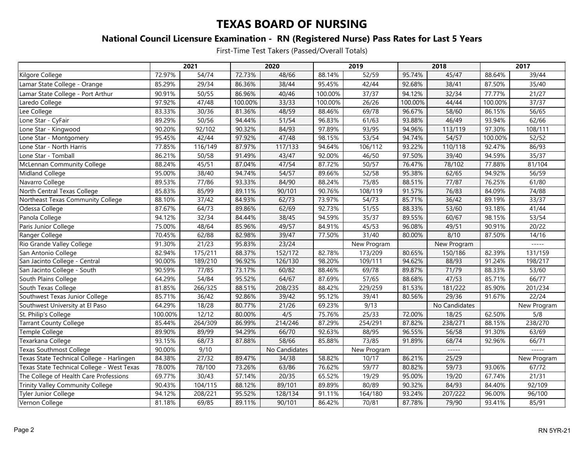### **National Council Licensure Examination - RN (Registered Nurse) Pass Rates for Last 5 Years**

|                                            | 2021    |         | 2020    |               | 2019    |             | 2018    |               | 2017    |             |
|--------------------------------------------|---------|---------|---------|---------------|---------|-------------|---------|---------------|---------|-------------|
| Kilgore College                            | 72.97%  | 54/74   | 72.73%  | 48/66         | 88.14%  | 52/59       | 95.74%  | 45/47         | 88.64%  | 39/44       |
| Lamar State College - Orange               | 85.29%  | 29/34   | 86.36%  | 38/44         | 95.45%  | 42/44       | 92.68%  | 38/41         | 87.50%  | 35/40       |
| Lamar State College - Port Arthur          | 90.91%  | 50/55   | 86.96%  | 40/46         | 100.00% | 37/37       | 94.12%  | 32/34         | 77.77%  | 21/27       |
| Laredo College                             | 97.92%  | 47/48   | 100.00% | 33/33         | 100.00% | 26/26       | 100.00% | 44/44         | 100.00% | 37/37       |
| Lee College                                | 83.33%  | 30/36   | 81.36%  | 48/59         | 88.46%  | 69/78       | 96.67%  | 58/60         | 86.15%  | 56/65       |
| Lone Star - CyFair                         | 89.29%  | 50/56   | 94.44%  | 51/54         | 96.83%  | 61/63       | 93.88%  | 46/49         | 93.94%  | 62/66       |
| Lone Star - Kingwood                       | 90.20%  | 92/102  | 90.32%  | 84/93         | 97.89%  | 93/95       | 94.96%  | 113/119       | 97.30%  | 108/111     |
| Lone Star - Montgomery                     | 95.45%  | 42/44   | 97.92%  | 47/48         | 98.15%  | 53/54       | 94.74%  | 54/57         | 100.00% | 52/52       |
| Lone Star - North Harris                   | 77.85%  | 116/149 | 87.97%  | 117/133       | 94.64%  | 106/112     | 93.22%  | 110/118       | 92.47%  | 86/93       |
| Lone Star - Tomball                        | 86.21%  | 50/58   | 91.49%  | 43/47         | 92.00%  | 46/50       | 97.50%  | 39/40         | 94.59%  | 35/37       |
| McLennan Community College                 | 88.24%  | 45/51   | 87.04%  | 47/54         | 87.72%  | 50/57       | 76.47%  | 78/102        | 77.88%  | 81/104      |
| Midland College                            | 95.00%  | 38/40   | 94.74%  | 54/57         | 89.66%  | 52/58       | 95.38%  | 62/65         | 94.92%  | 56/59       |
| Navarro College                            | 89.53%  | 77/86   | 93.33%  | 84/90         | 88.24%  | 75/85       | 88.51%  | 77/87         | 76.25%  | 61/80       |
| North Central Texas College                | 85.83%  | 85/99   | 89.11%  | 90/101        | 90.76%  | 108/119     | 91.57%  | 76/83         | 84.09%  | 74/88       |
| Northeast Texas Community College          | 88.10%  | 37/42   | 84.93%  | 62/73         | 73.97%  | 54/73       | 85.71%  | 36/42         | 89.19%  | 33/37       |
| Odessa College                             | 87.67%  | 64/73   | 89.86%  | 62/69         | 92.73%  | 51/55       | 88.33%  | 53/60         | 93.18%  | 41/44       |
| Panola College                             | 94.12%  | 32/34   | 84.44%  | 38/45         | 94.59%  | 35/37       | 89.55%  | 60/67         | 98.15%  | 53/54       |
| Paris Junior College                       | 75.00%  | 48/64   | 85.96%  | 49/57         | 84.91%  | 45/53       | 96.08%  | 49/51         | 90.91%  | 20/22       |
| Ranger College                             | 70.45%  | 62/88   | 82.98%  | 39/47         | 77.50%  | 31/40       | 80.00%  | 8/10          | 87.50%  | 14/16       |
| Rio Grande Valley College                  | 91.30%  | 21/23   | 95.83%  | 23/24         |         | New Program |         | New Program   |         | -----       |
| San Antonio College                        | 82.94%  | 175/211 | 88.37%  | 152/172       | 82.78%  | 173/209     | 80.65%  | 150/186       | 82.39%  | 131/159     |
| San Jacinto College - Central              | 90.00%  | 189/210 | 96.92%  | 126/130       | 98.20%  | 109/111     | 94.62%  | 88/93         | 91.24%  | 198/217     |
| San Jacinto College - South                | 90.59%  | 77/85   | 73.17%  | 60/82         | 88.46%  | 69/78       | 89.87%  | 71/79         | 88.33%  | 53/60       |
| South Plains College                       | 64.29%  | 54/84   | 95.52%  | 64/67         | 87.69%  | 57/65       | 88.68%  | 47/53         | 85.71%  | 66/77       |
| South Texas College                        | 81.85%  | 266/325 | 88.51%  | 208/235       | 88.42%  | 229/259     | 81.53%  | 181/222       | 85.90%  | 201/234     |
| Southwest Texas Junior College             | 85.71%  | 36/42   | 92.86%  | 39/42         | 95.12%  | 39/41       | 80.56%  | 29/36         | 91.67%  | 22/24       |
| Southwest University at El Paso            | 64.29%  | 18/28   | 80.77%  | 21/26         | 69.23%  | 9/13        |         | No Candidates |         | New Program |
| St. Philip's College                       | 100.00% | 12/12   | 80.00%  | 4/5           | 75.76%  | 25/33       | 72.00%  | 18/25         | 62.50%  | 5/8         |
| <b>Tarrant County College</b>              | 85.44%  | 264/309 | 86.99%  | 214/246       | 87.29%  | 254/291     | 87.82%  | 238/271       | 88.15%  | 238/270     |
| Temple College                             | 89.90%  | 89/99   | 94.29%  | 66/70         | 92.63%  | 88/95       | 96.55%  | 56/58         | 91.30%  | 63/69       |
| Texarkana College                          | 93.15%  | 68/73   | 87.88%  | 58/66         | 85.88%  | 73/85       | 91.89%  | 68/74         | 92.96%  | 66/71       |
| <b>Texas Southmost College</b>             | 90.00%  | 9/10    |         | No Candidates |         | New Program |         | $- - - - -$   |         | -----       |
| Texas State Technical College - Harlingen  | 84.38%  | 27/32   | 89.47%  | 34/38         | 58.82%  | 10/17       | 86.21%  | 25/29         |         | New Program |
| Texas State Technical College - West Texas | 78.00%  | 78/100  | 73.26%  | 63/86         | 76.62%  | 59/77       | 80.82%  | 59/73         | 93.06%  | 67/72       |
| The College of Health Care Professions     | 69.77%  | 30/43   | 57.14%  | 20/35         | 65.52%  | 19/29       | 95.00%  | 19/20         | 67.74%  | 21/31       |
| Trinity Valley Community College           | 90.43%  | 104/115 | 88.12%  | 89/101        | 89.89%  | 80/89       | 90.32%  | 84/93         | 84.40%  | 92/109      |
| Tyler Junior College                       | 94.12%  | 208/221 | 95.52%  | 128/134       | 91.11%  | 164/180     | 93.24%  | 207/222       | 96.00%  | 96/100      |
| Vernon College                             | 81.18%  | 69/85   | 89.11%  | 90/101        | 86.42%  | 70/81       | 87.78%  | 79/90         | 93.41%  | 85/91       |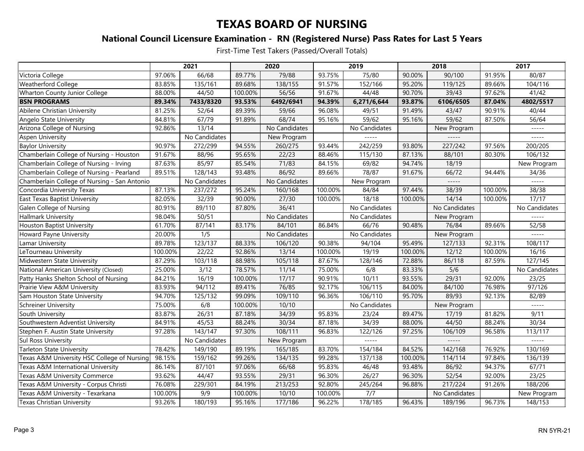### **National Council Licensure Examination - RN (Registered Nurse) Pass Rates for Last 5 Years**

|                                              | 2021    |               | 2020    |               | 2019    |               | 2018    |               | 2017    |               |
|----------------------------------------------|---------|---------------|---------|---------------|---------|---------------|---------|---------------|---------|---------------|
| Victoria College                             | 97.06%  | 66/68         | 89.77%  | 79/88         | 93.75%  | 75/80         | 90.00%  | 90/100        | 91.95%  | 80/87         |
| <b>Weatherford College</b>                   | 83.85%  | 135/161       | 89.68%  | 138/155       | 91.57%  | 152/166       | 95.20%  | 119/125       | 89.66%  | 104/116       |
| <b>Wharton County Junior College</b>         | 88.00%  | 44/50         | 100.00% | 56/56         | 91.67%  | 44/48         | 90.70%  | 39/43         | 97.62%  | 41/42         |
| <b>BSN PROGRAMS</b>                          | 89.34%  | 7433/8320     | 93.53%  | 6492/6941     | 94.39%  | 6,271/6,644   | 93.87%  | 6106/6505     | 87.04%  | 4802/5517     |
| Abilene Christian University                 | 81.25%  | 52/64         | 89.39%  | 59/66         | 96.08%  | 49/51         | 91.49%  | 43/47         | 90.91%  | 40/44         |
| Angelo State University                      | 84.81%  | 67/79         | 91.89%  | 68/74         | 95.16%  | 59/62         | 95.16%  | 59/62         | 87.50%  | 56/64         |
| Arizona College of Nursing                   | 92.86%  | 13/14         |         | No Candidates |         | No Candidates |         | New Program   |         | $- - - - -$   |
| Aspen University                             |         | No Candidates |         | New Program   |         | -----         |         |               |         | -----         |
| <b>Baylor University</b>                     | 90.97%  | 272/299       | 94.55%  | 260/275       | 93.44%  | 242/259       | 93.80%  | 227/242       | 97.56%  | 200/205       |
| Chamberlain College of Nursing<br>- Houston  | 91.67%  | 88/96         | 95.65%  | 22/23         | 88.46%  | 115/130       | 87.13%  | 88/101        | 80.30%  | 106/132       |
| Chamberlain College of Nursing - Irving      | 87.63%  | 85/97         | 85.54%  | 71/83         | 84.15%  | 69/82         | 94.74%  | 18/19         |         | New Program   |
| Chamberlain College of Nursing - Pearland    | 89.51%  | 128/143       | 93.48%  | 86/92         | 89.66%  | 78/87         | 91.67%  | 66/72         | 94.44%  | 34/36         |
| Chamberlain College of Nursing - San Antonio |         | No Candidates |         | No Candidates |         | New Program   |         | $- - - - -$   |         | $- - - - -$   |
| Concordia University Texas                   | 87.13%  | 237/272       | 95.24%  | 160/168       | 100.00% | 84/84         | 97.44%  | 38/39         | 100.00% | 38/38         |
| East Texas Baptist University                | 82.05%  | 32/39         | 90.00%  | 27/30         | 100.00% | 18/18         | 100.00% | 14/14         | 100.00% | 17/17         |
| Galen College of Nursing                     | 80.91%  | 89/110        | 87.80%  | 36/41         |         | No Candidates |         | No Candidates |         | No Candidates |
| <b>Hallmark University</b>                   | 98.04%  | 50/51         |         | No Candidates |         | No Candidates |         | New Program   |         | $- - - - -$   |
| Houston Baptist University                   | 61.70%  | 87/141        | 83.17%  | 84/101        | 86.84%  | 66/76         | 90.48%  | 76/84         | 89.66%  | 52/58         |
| Howard Payne University                      | 20.00%  | 1/5           |         | No Candidates |         | No Candidates |         | New Program   |         | -----         |
| Lamar University                             | 89.78%  | 123/137       | 88.33%  | 106/120       | 90.38%  | 94/104        | 95.49%  | 127/133       | 92.31%  | 108/117       |
| LeTourneau University                        | 100.00% | 22/22         | 92.86%  | 13/14         | 100.00% | 19/19         | 100.00% | 12/12         | 100.00% | 16/16         |
| Midwestern State University                  | 87.29%  | 103/118       | 88.98%  | 105/118       | 87.67%  | 128/146       | 72.88%  | 86/118        | 87.59%  | 127/145       |
| National American University (Closed)        | 25.00%  | 3/12          | 78.57%  | 11/14         | 75.00%  | 6/8           | 83.33%  | 5/6           |         | No Candidates |
| Patty Hanks Shelton School of Nursing        | 84.21%  | 16/19         | 100.00% | 17/17         | 90.91%  | 10/11         | 93.55%  | 29/31         | 92.00%  | 23/25         |
| Prairie View A&M University                  | 83.93%  | 94/112        | 89.41%  | 76/85         | 92.17%  | 106/115       | 84.00%  | 84/100        | 76.98%  | 97/126        |
| Sam Houston State University                 | 94.70%  | 125/132       | 99.09%  | 109/110       | 96.36%  | 106/110       | 95.70%  | 89/93         | 92.13%  | 82/89         |
| <b>Schreiner University</b>                  | 75.00%  | 6/8           | 100.00% | 10/10         |         | No Candidates |         | New Program   |         | -----         |
| South University                             | 83.87%  | 26/31         | 87.18%  | 34/39         | 95.83%  | 23/24         | 89.47%  | 17/19         | 81.82%  | 9/11          |
| Southwestern Adventist University            | 84.91%  | 45/53         | 88.24%  | 30/34         | 87.18%  | 34/39         | 88.00%  | 44/50         | 88.24%  | 30/34         |
| Stephen F. Austin State University           | 97.28%  | 143/147       | 97.30%  | 108/111       | 96.83%  | 122/126       | 97.25%  | 106/109       | 96.58%  | 113/117       |
| <b>Sul Ross University</b>                   |         | No Candidates |         | New Program   |         | -----         |         | $- - - - -$   |         | $- - - - -$   |
| Tarleton State University                    | 78.42%  | 149/190       | 89.19%  | 165/185       | 83.70%  | 154/184       | 84.52%  | 142/168       | 76.92%  | 130/169       |
| Texas A&M University HSC College of Nursing  | 98.15%  | 159/162       | 99.26%  | 134/135       | 99.28%  | 137/138       | 100.00% | 114/114       | 97.84%  | 136/139       |
| Texas A&M International University           | 86.14%  | 87/101        | 97.06%  | 66/68         | 95.83%  | 46/48         | 93.48%  | 86/92         | 94.37%  | 67/71         |
| Texas A&M University Commerce                | 93.62%  | 44/47         | 93.55%  | 29/31         | 96.30%  | 26/27         | 96.30%  | 52/54         | 92.00%  | 23/25         |
| Texas A&M University - Corpus Christi        | 76.08%  | 229/301       | 84.19%  | 213/253       | 92.80%  | 245/264       | 96.88%  | 217/224       | 91.26%  | 188/206       |
| Texas A&M University - Texarkana             | 100.00% | 9/9           | 100.00% | 10/10         | 100.00% | 7/7           |         | No Candidates |         | New Program   |
| <b>Texas Christian University</b>            | 93.26%  | 180/193       | 95.16%  | 177/186       | 96.22%  | 178/185       | 96.43%  | 189/196       | 96.73%  | 148/153       |